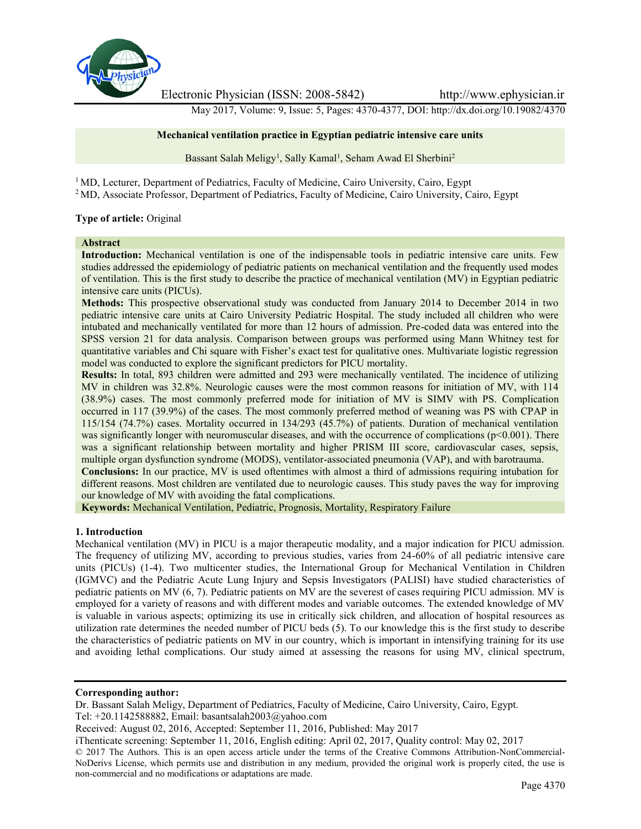

Electronic Physician (ISSN: 2008-5842) http://www.ephysician.ir

May 2017, Volume: 9, Issue: 5, Pages: 4370-4377, DOI: http://dx.doi.org/10.19082/4370

#### **Mechanical ventilation practice in Egyptian pediatric intensive care units**

Bassant Salah Meligy<sup>1</sup>, Sally Kamal<sup>1</sup>, Seham Awad El Sherbini<sup>2</sup>

<sup>1</sup> MD, Lecturer, Department of Pediatrics, Faculty of Medicine, Cairo University, Cairo, Egypt <sup>2</sup> MD, Associate Professor, Department of Pediatrics, Faculty of Medicine, Cairo University, Cairo, Egypt

#### **Type of article:** Original

#### **Abstract**

**Introduction:** Mechanical ventilation is one of the indispensable tools in pediatric intensive care units. Few studies addressed the epidemiology of pediatric patients on mechanical ventilation and the frequently used modes of ventilation. This is the first study to describe the practice of mechanical ventilation (MV) in Egyptian pediatric intensive care units (PICUs).

**Methods:** This prospective observational study was conducted from January 2014 to December 2014 in two pediatric intensive care units at Cairo University Pediatric Hospital. The study included all children who were intubated and mechanically ventilated for more than 12 hours of admission. Pre-coded data was entered into the SPSS version 21 for data analysis. Comparison between groups was performed using Mann Whitney test for quantitative variables and Chi square with Fisher's exact test for qualitative ones. Multivariate logistic regression model was conducted to explore the significant predictors for PICU mortality.

**Results:** In total, 893 children were admitted and 293 were mechanically ventilated. The incidence of utilizing MV in children was 32.8%. Neurologic causes were the most common reasons for initiation of MV, with 114 (38.9%) cases. The most commonly preferred mode for initiation of MV is SIMV with PS. Complication occurred in 117 (39.9%) of the cases. The most commonly preferred method of weaning was PS with CPAP in 115/154 (74.7%) cases. Mortality occurred in 134/293 (45.7%) of patients. Duration of mechanical ventilation was significantly longer with neuromuscular diseases, and with the occurrence of complications  $(p<0.001)$ . There was a significant relationship between mortality and higher PRISM III score, cardiovascular cases, sepsis, multiple organ dysfunction syndrome (MODS), ventilator-associated pneumonia (VAP), and with barotrauma.

**Conclusions:** In our practice, MV is used oftentimes with almost a third of admissions requiring intubation for different reasons. Most children are ventilated due to neurologic causes. This study paves the way for improving our knowledge of MV with avoiding the fatal complications.

**Keywords:** Mechanical Ventilation, Pediatric, Prognosis, Mortality, Respiratory Failure

#### **1. Introduction**

Mechanical ventilation (MV) in PICU is a major therapeutic modality, and a major indication for PICU admission. The frequency of utilizing MV, according to previous studies, varies from 24-60% of all pediatric intensive care units (PICUs) (1-4). Two multicenter studies, the International Group for Mechanical Ventilation in Children (IGMVC) and the Pediatric Acute Lung Injury and Sepsis Investigators (PALISI) have studied characteristics of pediatric patients on MV (6, 7). Pediatric patients on MV are the severest of cases requiring PICU admission. MV is employed for a variety of reasons and with different modes and variable outcomes. The extended knowledge of MV is valuable in various aspects; optimizing its use in critically sick children, and allocation of hospital resources as utilization rate determines the needed number of PICU beds (5). To our knowledge this is the first study to describe the characteristics of pediatric patients on MV in our country, which is important in intensifying training for its use and avoiding lethal complications. Our study aimed at assessing the reasons for using MV, clinical spectrum,

#### **Corresponding author:**

Dr. Bassant Salah Meligy, Department of Pediatrics, Faculty of Medicine, Cairo University, Cairo, Egypt. Tel: +20.1142588882, Email: basantsalah2003@yahoo.com

Received: August 02, 2016, Accepted: September 11, 2016, Published: May 2017

iThenticate screening: September 11, 2016, English editing: April 02, 2017, Quality control: May 02, 2017

© 2017 The Authors. This is an open access article under the terms of the Creative Commons Attribution-NonCommercial- NoDerivs License, which permits use and distribution in any medium, provided the original work is properly cited, the use is non-commercial and no modifications or adaptations are made.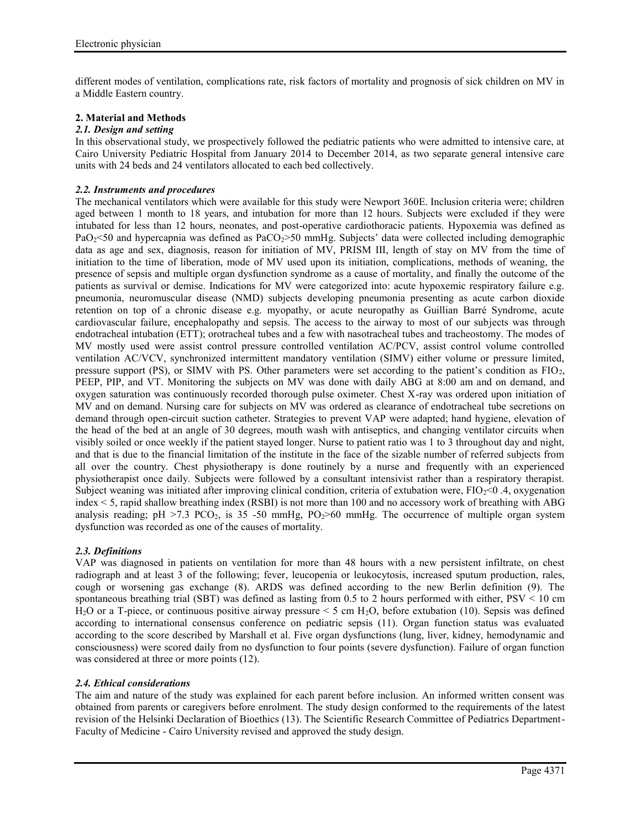different modes of ventilation, complications rate, risk factors of mortality and prognosis of sick children on MV in a Middle Eastern country.

## **2. Material and Methods**

#### *2.1. Design and setting*

In this observational study, we prospectively followed the pediatric patients who were admitted to intensive care, at Cairo University Pediatric Hospital from January 2014 to December 2014, as two separate general intensive care units with 24 beds and 24 ventilators allocated to each bed collectively.

## *2.2. Instruments and procedures*

The mechanical ventilators which were available for this study were Newport 360E. Inclusion criteria were; children aged between 1 month to 18 years, and intubation for more than 12 hours. Subjects were excluded if they were intubated for less than 12 hours, neonates, and post-operative cardiothoracic patients. Hypoxemia was defined as PaO<sub>2</sub> <50 and hypercapnia was defined as PaCO<sub>2</sub> > 50 mmHg. Subjects' data were collected including demographic data as age and sex, diagnosis, reason for initiation of MV, PRISM III, length of stay on MV from the time of initiation to the time of liberation, mode of MV used upon its initiation, complications, methods of weaning, the presence of sepsis and multiple organ dysfunction syndrome as a cause of mortality, and finally the outcome of the patients as survival or demise. Indications for MV were categorized into: acute hypoxemic respiratory failure e.g. pneumonia, neuromuscular disease (NMD) subjects developing pneumonia presenting as acute carbon dioxide retention on top of a chronic disease e.g. myopathy, or acute neuropathy as Guillian Barré Syndrome, acute cardiovascular failure, encephalopathy and sepsis. The access to the airway to most of our subjects was through endotracheal intubation (ETT); orotracheal tubes and a few with nasotracheal tubes and tracheostomy. The modes of MV mostly used were assist control pressure controlled ventilation AC/PCV, assist control volume controlled ventilation AC/VCV, synchronized intermittent mandatory ventilation (SIMV) either volume or pressure limited, pressure support (PS), or SIMV with PS. Other parameters were set according to the patient's condition as  $FIO<sub>2</sub>$ , PEEP, PIP, and VT. Monitoring the subjects on MV was done with daily ABG at 8:00 am and on demand, and oxygen saturation was continuously recorded thorough pulse oximeter. Chest X-ray was ordered upon initiation of MV and on demand. Nursing care for subjects on MV was ordered as clearance of endotracheal tube secretions on demand through open-circuit suction catheter. Strategies to prevent VAP were adapted; hand hygiene, elevation of the head of the bed at an angle of 30 degrees, mouth wash with antiseptics, and changing ventilator circuits when visibly soiled or once weekly if the patient stayed longer. Nurse to patient ratio was 1 to 3 throughout day and night, and that is due to the financial limitation of the institute in the face of the sizable number of referred subjects from all over the country. Chest physiotherapy is done routinely by a nurse and frequently with an experienced physiotherapist once daily. Subjects were followed by a consultant intensivist rather than a respiratory therapist. Subject weaning was initiated after improving clinical condition, criteria of extubation were,  $FIO_2 < 0.4$ , oxygenation index < 5, rapid shallow breathing index (RSBI) is not more than 100 and no accessory work of breathing with ABG analysis reading; pH  $>7.3$  PCO<sub>2</sub>, is 35 -50 mmHg, PO<sub>2</sub> $>60$  mmHg. The occurrence of multiple organ system dysfunction was recorded as one of the causes of mortality.

## *2.3. Definitions*

VAP was diagnosed in patients on ventilation for more than 48 hours with a new persistent infiltrate, on chest radiograph and at least 3 of the following; fever, leucopenia or leukocytosis, increased sputum production, rales, cough or worsening gas exchange (8). ARDS was defined according to the new Berlin definition (9). The spontaneous breathing trial (SBT) was defined as lasting from 0.5 to 2 hours performed with either,  $PSV < 10$  cm H<sub>2</sub>O or a T-piece, or continuous positive airway pressure  $\leq$  5 cm H<sub>2</sub>O, before extubation (10). Sepsis was defined according to international consensus conference on pediatric sepsis (11). Organ function status was evaluated according to the score described by Marshall et al. Five organ dysfunctions (lung, liver, kidney, hemodynamic and consciousness) were scored daily from no dysfunction to four points (severe dysfunction). Failure of organ function was considered at three or more points (12).

## *2.4. Ethical considerations*

The aim and nature of the study was explained for each parent before inclusion. An informed written consent was obtained from parents or caregivers before enrolment. The study design conformed to the requirements of the latest revision of the Helsinki Declaration of Bioethics (13). The Scientific Research Committee of Pediatrics Department- Faculty of Medicine - Cairo University revised and approved the study design.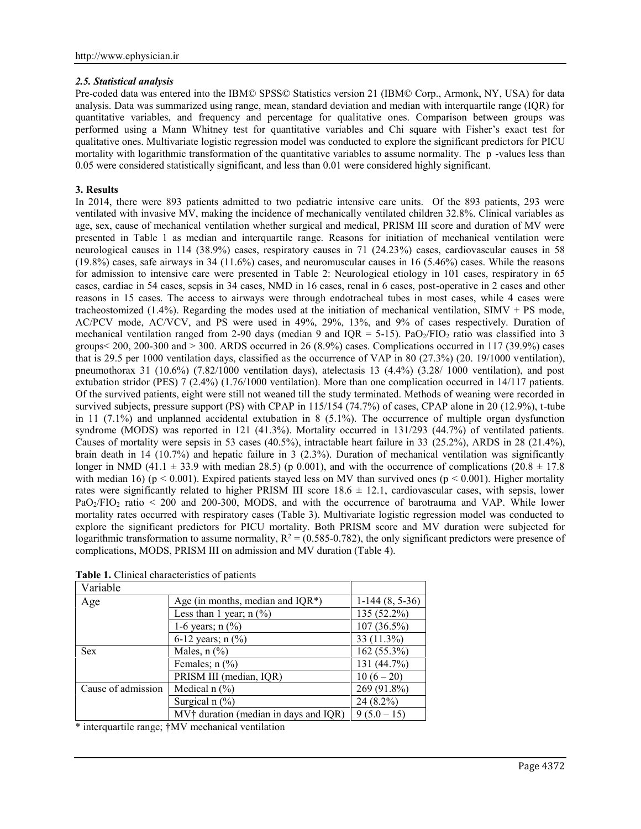## *2.5. Statistical analysis*

Pre-coded data was entered into the IBM© SPSS© Statistics version 21 (IBM© Corp., Armonk, NY, USA) for data analysis. Data was summarized using range, mean, standard deviation and median with interquartile range (IQR) for quantitative variables, and frequency and percentage for qualitative ones. Comparison between groups was performed using a Mann Whitney test for quantitative variables and Chi square with Fisher's exact test for qualitative ones. Multivariate logistic regression model was conducted to explore the significant predictors for PICU mortality with logarithmic transformation of the quantitative variables to assume normality. The p-values less than 0.05 were considered statistically significant, and less than 0.01 were considered highly significant.

## **3. Results**

In 2014, there were 893 patients admitted to two pediatric intensive care units. Of the 893 patients, 293 were ventilated with invasive MV, making the incidence of mechanically ventilated children 32.8%. Clinical variables as age, sex, cause of mechanical ventilation whether surgical and medical, PRISM III score and duration of MV were presented in Table 1 as median and interquartile range. Reasons for initiation of mechanical ventilation were neurological causes in 114 (38.9%) cases, respiratory causes in 71 (24.23%) cases, cardiovascular causes in 58  $(19.8\%)$  cases, safe airways in 34 (11.6%) cases, and neuromuscular causes in 16 (5.46%) cases. While the reasons for admission to intensive care were presented in Table 2: Neurological etiology in 101 cases, respiratory in 65 cases, cardiac in 54 cases, sepsis in 34 cases, NMD in 16 cases, renal in 6 cases, post-operative in 2 cases and other reasons in 15 cases. The access to airways were through endotracheal tubes in most cases, while 4 cases were tracheostomized (1.4%). Regarding the modes used at the initiation of mechanical ventilation, SIMV + PS mode, AC/PCV mode, AC/VCV, and PS were used in 49%, 29%, 13%, and 9% of cases respectively. Duration of mechanical ventilation ranged from 2-90 days (median 9 and IQR = 5-15). PaO<sub>2</sub>/FIO<sub>2</sub> ratio was classified into 3 groups< 200, 200-300 and > 300. ARDS occurred in 26 (8.9%) cases. Complications occurred in 117 (39.9%) cases that is 29.5 per 1000 ventilation days, classified as the occurrence of VAP in 80 (27.3%) (20. 19/1000 ventilation), pneumothorax 31 (10.6%) (7.82/1000 ventilation days), atelectasis 13 (4.4%) (3.28/ 1000 ventilation), and post extubation stridor (PES) 7 (2.4%) (1.76/1000 ventilation). More than one complication occurred in 14/117 patients. Of the survived patients, eight were still not weaned till the study terminated. Methods of weaning were recorded in survived subjects, pressure support (PS) with CPAP in 115/154 (74.7%) of cases, CPAP alone in 20 (12.9%), t-tube in 11 (7.1%) and unplanned accidental extubation in 8 (5.1%). The occurrence of multiple organ dysfunction syndrome (MODS) was reported in 121 (41.3%). Mortality occurred in 131/293 (44.7%) of ventilated patients. Causes of mortality were sepsis in 53 cases  $(40.5\%)$ , intractable heart failure in 33  $(25.2\%)$ , ARDS in 28  $(21.4\%)$ , brain death in 14 (10.7%) and hepatic failure in 3 (2.3%). Duration of mechanical ventilation was significantly longer in NMD (41.1  $\pm$  33.9 with median 28.5) (p 0.001), and with the occurrence of complications (20.8  $\pm$  17.8 with median 16) (p < 0.001). Expired patients stayed less on MV than survived ones (p < 0.001). Higher mortality rates were significantly related to higher PRISM III score  $18.6 \pm 12.1$ , cardiovascular cases, with sepsis, lower  $PaO<sub>2</sub>/FIO<sub>2</sub>$  ratio  $\leq$  200 and 200-300, MODS, and with the occurrence of barotrauma and VAP. While lower mortality rates occurred with respiratory cases (Table 3). Multivariate logistic regression model was conducted to explore the significant predictors for PICU mortality. Both PRISM score and MV duration were subjected for logarithmic transformation to assume normality,  $R^2 = (0.585-0.782)$ , the only significant predictors were presence of complications, MODS, PRISM III on admission and MV duration (Table 4).

| Variable           |                                         |                  |
|--------------------|-----------------------------------------|------------------|
| Age                | Age (in months, median and $IQR^*$ )    | $1-144(8, 5-36)$ |
|                    | Less than 1 year; $n$ (%)               | 135 (52.2%)      |
|                    | 1-6 years; $n$ (%)                      | $107(36.5\%)$    |
|                    | 6-12 years; $n$ (%)                     | 33 (11.3%)       |
| <b>Sex</b>         | Males, $n$ $\left(\frac{9}{6}\right)$   | $162(55.3\%)$    |
|                    | Females; $n$ $\left(\frac{9}{6}\right)$ | 131 (44.7%)      |
|                    | PRISM III (median, IQR)                 | $10(6-20)$       |
| Cause of admission | Medical $n$ (%)                         | 269 (91.8%)      |
|                    | Surgical $n$ (%)                        | $24(8.2\%)$      |
|                    | $MV+ duration (median in days and IQR)$ | $9(5.0-15)$      |

**Table 1.** Clinical characteristics of patients

\* interquartile range; †MV mechanical ventilation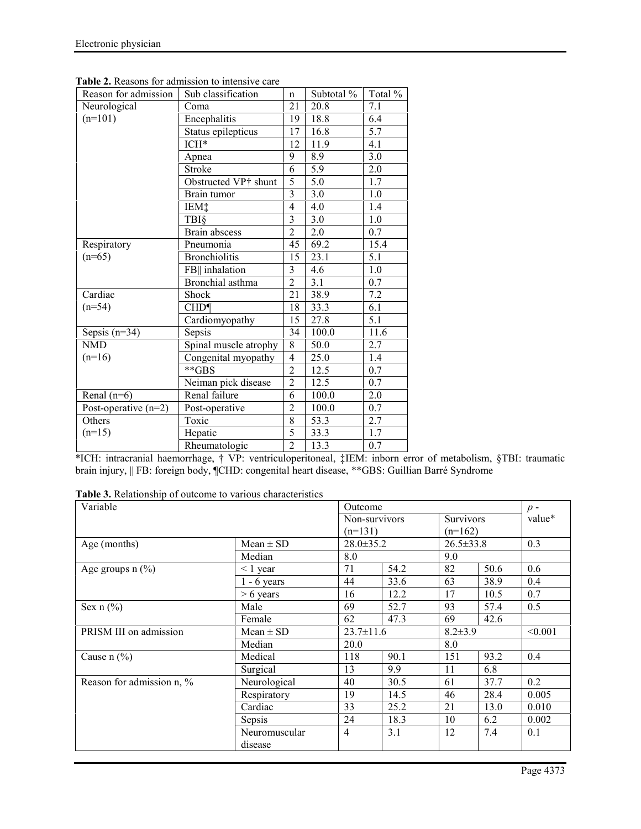**Table 2.** Reasons for admission to intensive care

| Reason for admission   | Sub classification     | n              | Subtotal % | Total % |
|------------------------|------------------------|----------------|------------|---------|
| Neurological           | Coma                   | 21             | 20.8       | 7.1     |
| $(n=101)$              | Encephalitis           | 19             | 18.8       | 6.4     |
|                        | Status epilepticus     | 17             | 16.8       | 5.7     |
|                        | ICH*                   | 12             | 11.9       | 4.1     |
|                        | Apnea                  | 9              | 8.9        | 3.0     |
|                        | <b>Stroke</b>          | 6              | 5.9        | 2.0     |
|                        | Obstructed VP† shunt   | 5              | 5.0        | 1.7     |
|                        | Brain tumor            | 3              | 3.0        | 1.0     |
|                        | IEM <sub>1</sub>       | 4              | 4.0        | 1.4     |
|                        | <b>TBI§</b>            | 3              | 3.0        | 1.0     |
|                        | Brain abscess          | $\overline{c}$ | 2.0        | 0.7     |
| Respiratory            | Pneumonia              | 45             | 69.2       | 15.4    |
| $(n=65)$               | <b>Bronchiolitis</b>   | 15             | 23.1       | 5.1     |
|                        | FB   inhalation        | 3              | 4.6        | 1.0     |
|                        | Bronchial asthma       | $\overline{2}$ | 3.1        | 0.7     |
| Cardiac                | Shock                  | 21             | 38.9       | 7.2     |
| $(n=54)$               | <b>CHD</b> <sup></sup> | 18             | 33.3       | 6.1     |
|                        | Cardiomyopathy         | 15             | 27.8       | 5.1     |
| Sepsis $(n=34)$        | Sepsis                 | 34             | 100.0      | 11.6    |
| <b>NMD</b>             | Spinal muscle atrophy  | 8              | 50.0       | 2.7     |
| $(n=16)$               | Congenital myopathy    | $\overline{4}$ | 25.0       | 1.4     |
|                        | $*$ $GBS$              | $\overline{2}$ | 12.5       | 0.7     |
|                        | Neiman pick disease    | $\overline{2}$ | 12.5       | 0.7     |
| Renal $(n=6)$          | Renal failure          | 6              | 100.0      | 2.0     |
| Post-operative $(n=2)$ | Post-operative         | $\overline{2}$ | 100.0      | 0.7     |
| Others                 | Toxic                  | 8              | 53.3       | 2.7     |
| $(n=15)$               | Hepatic                | 5              | 33.3       | 1.7     |
|                        | Rheumatologic          | $\overline{2}$ | 13.3       | 0.7     |

\*ICH: intracranial haemorrhage, † VP: ventriculoperitoneal, ‡IEM: inborn error of metabolism, §TBI: traumatic brain injury, || FB: foreign body, ¶CHD: congenital heart disease, \*\*GBS: Guillian Barré Syndrome

**Table 3.** Relationship of outcome to various characteristics

| Variable                  |               | Outcome         |               |                  |      | $p -$   |
|---------------------------|---------------|-----------------|---------------|------------------|------|---------|
|                           |               |                 | Non-survivors | <b>Survivors</b> |      | value*  |
|                           |               | $(n=131)$       |               | $(n=162)$        |      |         |
| Age (months)              | $Mean \pm SD$ | $28.0 \pm 35.2$ |               | $26.5 \pm 33.8$  |      | 0.3     |
|                           | Median        | 8.0             |               | 9.0              |      |         |
| Age groups $n$ $(\%)$     | $\leq 1$ year | 71              | 54.2          | 82               | 50.6 | 0.6     |
|                           | $1 - 6$ years | 44              | 33.6          | 63               | 38.9 | 0.4     |
|                           | $> 6$ years   | 16              | 12.2          | 17               | 10.5 | 0.7     |
| Sex $n$ (%)               | Male          | 69              | 52.7          | 93               | 57.4 | 0.5     |
|                           | Female        | 62              | 47.3          | 69               | 42.6 |         |
| PRISM III on admission    | $Mean \pm SD$ | $23.7 \pm 11.6$ |               | $8.2 \pm 3.9$    |      | < 0.001 |
|                           | Median        | 20.0            |               | 8.0              |      |         |
| Cause $n$ (%)             | Medical       | 118             | 90.1          | 151              | 93.2 | 0.4     |
|                           | Surgical      | 13              | 9.9           | 11               | 6.8  |         |
| Reason for admission n, % | Neurological  | 40              | 30.5          | 61               | 37.7 | 0.2     |
|                           | Respiratory   | 19              | 14.5          | 46               | 28.4 | 0.005   |
|                           | Cardiac       | 33              | 25.2          | 21               | 13.0 | 0.010   |
|                           | Sepsis        | 24              | 18.3          | 10               | 6.2  | 0.002   |
|                           | Neuromuscular | $\overline{4}$  | 3.1           | 12               | 7.4  | 0.1     |
|                           | disease       |                 |               |                  |      |         |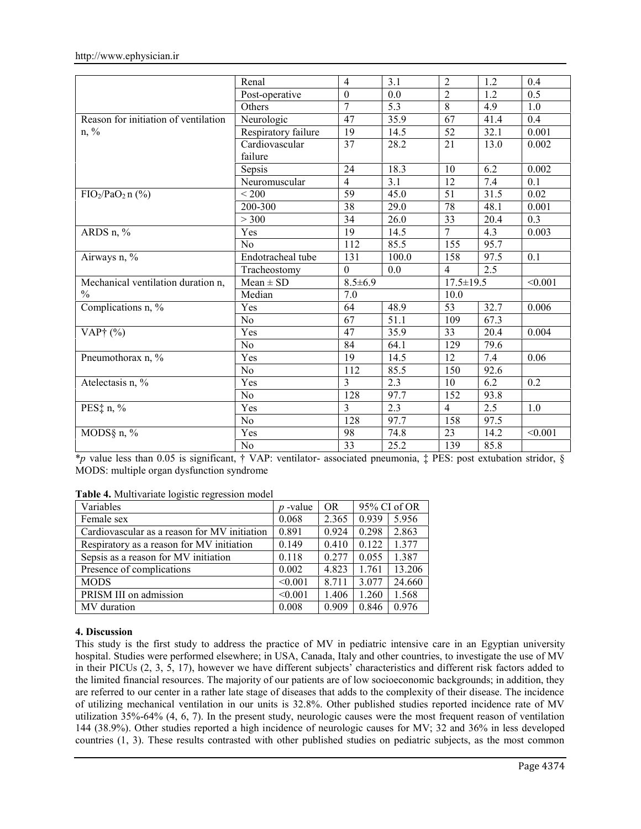|                                          | Renal               | $\overline{4}$  | 3.1   | $\overline{2}$  | 1.2  | 0.4     |
|------------------------------------------|---------------------|-----------------|-------|-----------------|------|---------|
|                                          | Post-operative      | $\mathbf{0}$    | 0.0   | $\overline{2}$  | 1.2  | 0.5     |
|                                          | Others              | $\overline{7}$  | 5.3   | 8               | 4.9  | 1.0     |
| Reason for initiation of ventilation     | Neurologic          | 47              | 35.9  | 67              | 41.4 | 0.4     |
| $n, \%$                                  | Respiratory failure | 19              | 14.5  | 52              | 32.1 | 0.001   |
|                                          | Cardiovascular      | 37              | 28.2  | 21              | 13.0 | 0.002   |
|                                          | failure             |                 |       |                 |      |         |
|                                          | Sepsis              | 24              | 18.3  | 10              | 6.2  | 0.002   |
|                                          | Neuromuscular       | $\overline{4}$  | 3.1   | 7.4<br>12       | 0.1  |         |
| FIO <sub>2</sub> /PaO <sub>2</sub> n (%) | < 200               | 59              | 45.0  | 51              | 31.5 | 0.02    |
|                                          | 200-300             | 38              | 29.0  | 78              | 48.1 | 0.001   |
|                                          | > 300               | 34              | 26.0  | 33              | 20.4 | 0.3     |
| ARDS n, %                                | Yes                 | 19              | 14.5  | $\overline{7}$  | 4.3  | 0.003   |
|                                          | No                  | 112             | 85.5  | 155             | 95.7 |         |
| Airways n, %                             | Endotracheal tube   | 131             | 100.0 | 158             | 97.5 | 0.1     |
|                                          | Tracheostomy        | $\theta$        | 0.0   | $\overline{4}$  | 2.5  |         |
| Mechanical ventilation duration n,       | $Mean \pm SD$       | $8.5 \pm 6.9$   |       | $17.5 \pm 19.5$ |      | < 0.001 |
| $\%$                                     | Median              | 7.0             |       | 10.0            |      |         |
| Complications n, %                       | Yes                 | 64              | 48.9  | 53              | 32.7 | 0.006   |
|                                          | N <sub>o</sub>      | 67              | 51.1  | 109             | 67.3 |         |
| VAP $\dagger$ (%)                        | Yes                 | 47              | 35.9  | 33              | 20.4 | 0.004   |
|                                          | N <sub>o</sub>      | 84              | 64.1  | 129             | 79.6 |         |
| Pneumothorax n, %                        | Yes                 | 19              | 14.5  | 12              | 7.4  | 0.06    |
|                                          | N <sub>o</sub>      | 112             | 85.5  | 150             | 92.6 |         |
| Atelectasis n, %                         | Yes                 | 3               | 2.3   | 10              | 6.2  | 0.2     |
|                                          | N <sub>o</sub>      | 128             | 97.7  | 152             | 93.8 |         |
| PES‡ n, %                                | Yes                 | 3               | 2.3   | $\overline{4}$  | 2.5  | 1.0     |
|                                          | N <sub>o</sub>      | 128             | 97.7  | 158             | 97.5 |         |
| MODS§ n, %                               | Yes                 | 98              | 74.8  | 23              | 14.2 | < 0.001 |
|                                          | No                  | $\overline{33}$ | 25.2  | 139             | 85.8 |         |

\**p* value less than 0.05 is significant, † VAP: ventilator- associated pneumonia, ‡ PES: post extubation stridor, § MODS: multiple organ dysfunction syndrome

**Table 4.** Multivariate logistic regression model

| Variables                                    | $p$ -value | <b>OR</b> | 95% CI of OR |        |
|----------------------------------------------|------------|-----------|--------------|--------|
| Female sex                                   | 0.068      | 2.365     | 0.939        | 5.956  |
| Cardiovascular as a reason for MV initiation | 0.891      | 0.924     | 0.298        | 2.863  |
| Respiratory as a reason for MV initiation    | 0.149      | 0.410     | 0.122        | 1.377  |
| Sepsis as a reason for MV initiation         | 0.118      | 0.277     | 0.055        | 1.387  |
| Presence of complications                    | 0.002      | 4.823     | 1.761        | 13.206 |
| <b>MODS</b>                                  | < 0.001    | 8.711     | 3.077        | 24.660 |
| PRISM III on admission                       | < 0.001    | 1.406     | 1.260        | 1.568  |
| MV duration                                  | 0.008      | 0.909     | 0.846        | 0.976  |

## **4. Discussion**

This study is the first study to address the practice of MV in pediatric intensive care in an Egyptian university hospital. Studies were performed elsewhere; in USA, Canada, Italy and other countries, to investigate the use of MV in their PICUs (2, 3, 5, 17), however we have different subjects' characteristics and different risk factors added to the limited financial resources. The majority of our patients are of low socioeconomic backgrounds; in addition, they are referred to our center in a rather late stage of diseases that adds to the complexity of their disease. The incidence of utilizing mechanical ventilation in our units is 32.8%. Other published studies reported incidence rate of MV utilization 35%-64% (4, 6, 7). In the present study, neurologic causes were the most frequent reason of ventilation 144 (38.9%). Other studies reported a high incidence of neurologic causes for MV; 32 and 36% in less developed countries (1, 3). These results contrasted with other published studies on pediatric subjects, as the most common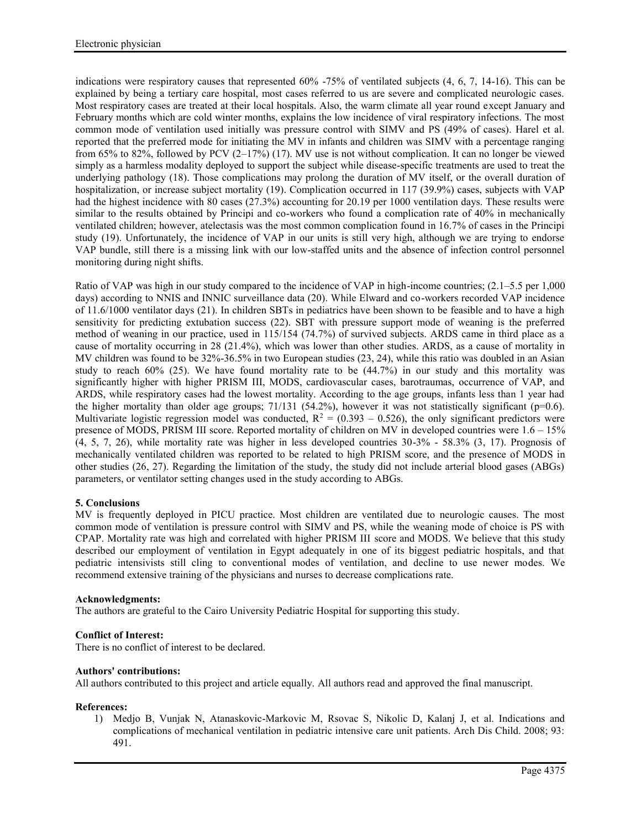indications were respiratory causes that represented 60% -75% of ventilated subjects (4, 6, 7, 14-16). This can be explained by being a tertiary care hospital, most cases referred to us are severe and complicated neurologic cases. Most respiratory cases are treated at their local hospitals. Also, the warm climate all year round except January and February months which are cold winter months, explains the low incidence of viral respiratory infections. The most common mode of ventilation used initially was pressure control with SIMV and PS (49% of cases). Harel et al. reported that the preferred mode for initiating the MV in infants and children was SIMV with a percentage ranging from 65% to 82%, followed by PCV (2–17%) (17). MV use is not without complication. It can no longer be viewed simply as a harmless modality deployed to support the subject while disease-specific treatments are used to treat the underlying pathology (18). Those complications may prolong the duration of MV itself, or the overall duration of hospitalization, or increase subject mortality (19). Complication occurred in 117 (39.9%) cases, subjects with VAP had the highest incidence with 80 cases (27.3%) accounting for 20.19 per 1000 ventilation days. These results were similar to the results obtained by Principi and co-workers who found a complication rate of 40% in mechanically ventilated children; however, atelectasis was the most common complication found in 16.7% of cases in the Principi study (19). Unfortunately, the incidence of VAP in our units is still very high, although we are trying to endorse VAP bundle, still there is a missing link with our low-staffed units and the absence of infection control personnel monitoring during night shifts.

Ratio of VAP was high in our study compared to the incidence of VAP in high-income countries; (2.1–5.5 per 1,000 days) according to NNIS and INNIC surveillance data (20). While Elward and co-workers recorded VAP incidence of 11.6/1000 ventilator days (21). In children SBTs in pediatrics have been shown to be feasible and to have a high sensitivity for predicting extubation success (22). SBT with pressure support mode of weaning is the preferred method of weaning in our practice, used in 115/154 (74.7%) of survived subjects. ARDS came in third place as a cause of mortality occurring in 28 (21.4%), which was lower than other studies. ARDS, as a cause of mortality in MV children was found to be 32%-36.5% in two European studies (23, 24), while this ratio was doubled in an Asian study to reach 60% (25). We have found mortality rate to be (44.7%) in our study and this mortality was significantly higher with higher PRISM III, MODS, cardiovascular cases, barotraumas, occurrence of VAP, and ARDS, while respiratory cases had the lowest mortality. According to the age groups, infants less than 1 year had the higher mortality than older age groups;  $71/131$  (54.2%), however it was not statistically significant (p=0.6). Multivariate logistic regression model was conducted,  $R^2 = (0.393 - 0.526)$ , the only significant predictors were presence of MODS, PRISM III score. Reported mortality of children on MV in developed countries were 1.6 – 15% (4, 5, 7, 26), while mortality rate was higher in less developed countries 30-3% - 58.3% (3, 17). Prognosis of mechanically ventilated children was reported to be related to high PRISM score, and the presence of MODS in other studies (26, 27). Regarding the limitation of the study, the study did not include arterial blood gases (ABGs) parameters, or ventilator setting changes used in the study according to ABGs.

## **5. Conclusions**

MV is frequently deployed in PICU practice. Most children are ventilated due to neurologic causes. The most common mode of ventilation is pressure control with SIMV and PS, while the weaning mode of choice is PS with CPAP. Mortality rate was high and correlated with higher PRISM III score and MODS. We believe that this study described our employment of ventilation in Egypt adequately in one of its biggest pediatric hospitals, and that pediatric intensivists still cling to conventional modes of ventilation, and decline to use newer modes. We recommend extensive training of the physicians and nurses to decrease complications rate.

## **Acknowledgments:**

The authors are grateful to the Cairo University Pediatric Hospital for supporting this study.

# **Conflict of Interest:**

There is no conflict of interest to be declared.

## **Authors' contributions:**

All authors contributed to this project and article equally. All authors read and approved the final manuscript.

## **References:**

1) Medjo B, Vunjak N, Atanaskovic-Markovic M, Rsovac S, Nikolic D, Kalanj J, et al. Indications and complications of mechanical ventilation in pediatric intensive care unit patients. Arch Dis Child. 2008; 93: 491.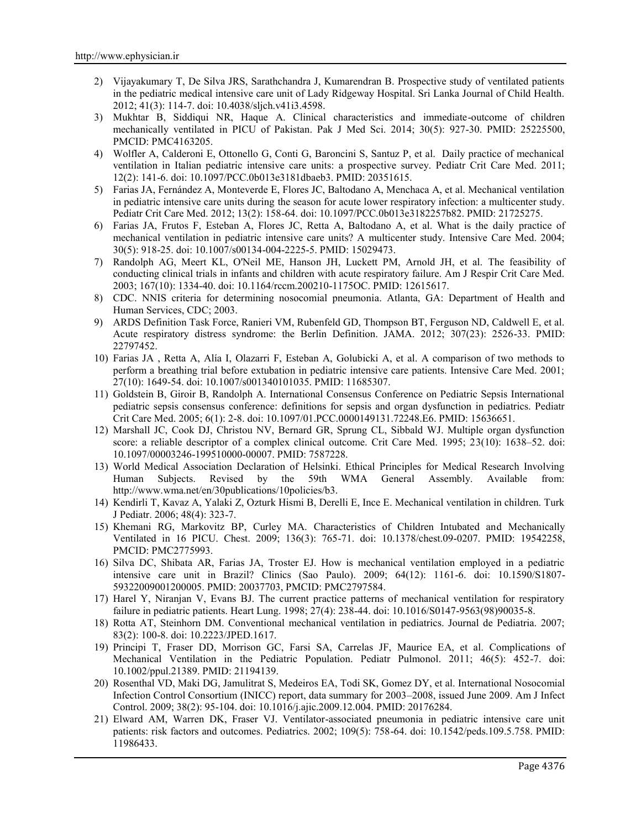- 2) Vijayakumary T, De Silva JRS, Sarathchandra J, Kumarendran B. Prospective study of ventilated patients in the pediatric medical intensive care unit of Lady Ridgeway Hospital. Sri Lanka Journal of Child Health. 2012; 41(3): 114-7. doi: 10.4038/sljch.v41i3.4598.
- 3) Mukhtar B, Siddiqui NR, Haque A. Clinical characteristics and immediate-outcome of children mechanically ventilated in PICU of Pakistan. Pak J Med Sci. 2014; 30(5): 927-30. PMID: 25225500, PMCID: PMC4163205.
- 4) Wolfler A, Calderoni E, Ottonello G, Conti G, Baroncini S, Santuz P, et al. Daily practice of mechanical ventilation in Italian pediatric intensive care units: a prospective survey. Pediatr Crit Care Med. 2011; 12(2): 141-6. doi: 10.1097/PCC.0b013e3181dbaeb3. PMID: 20351615.
- 5) Farias JA, Fernández A, Monteverde E, Flores JC, Baltodano A, Menchaca A, et al. Mechanical ventilation in pediatric intensive care units during the season for acute lower respiratory infection: a multicenter study. Pediatr Crit Care Med. 2012; 13(2): 158-64. doi: 10.1097/PCC.0b013e3182257b82. PMID: 21725275.
- 6) Farias JA, Frutos F, Esteban A, Flores JC, Retta A, Baltodano A, et al. What is the daily practice of mechanical ventilation in pediatric intensive care units? A multicenter study. Intensive Care Med. 2004; 30(5): 918-25. doi: 10.1007/s00134-004-2225-5. PMID: 15029473.
- 7) Randolph AG, Meert KL, O'Neil ME, Hanson JH, Luckett PM, Arnold JH, et al. The feasibility of conducting clinical trials in infants and children with acute respiratory failure. Am J Respir Crit Care Med. 2003; 167(10): 1334-40. doi: 10.1164/rccm.200210-1175OC. PMID: 12615617.
- 8) CDC. NNIS criteria for determining nosocomial pneumonia. Atlanta, GA: Department of Health and Human Services, CDC; 2003.
- 9) ARDS Definition Task Force, Ranieri VM, Rubenfeld GD, Thompson BT, Ferguson ND, Caldwell E, et al. Acute respiratory distress syndrome: the Berlin Definition. JAMA. 2012; 307(23): 2526-33. PMID: 22797452.
- 10) Farias JA , Retta A, Alía I, Olazarri F, Esteban A, Golubicki A, et al. A comparison of two methods to perform a breathing trial before extubation in pediatric intensive care patients. Intensive Care Med. 2001; 27(10): 1649-54. doi: 10.1007/s001340101035. PMID: 11685307.
- 11) Goldstein B, Giroir B, Randolph A. International Consensus Conference on Pediatric Sepsis International pediatric sepsis consensus conference: definitions for sepsis and organ dysfunction in pediatrics. Pediatr Crit Care Med. 2005; 6(1): 2-8. doi: 10.1097/01.PCC.0000149131.72248.E6. PMID: 15636651.
- 12) Marshall JC, Cook DJ, Christou NV, Bernard GR, Sprung CL, Sibbald WJ. Multiple organ dysfunction score: a reliable descriptor of a complex clinical outcome. Crit Care Med. 1995; 23(10): 1638–52. doi: 10.1097/00003246-199510000-00007. PMID: 7587228.
- 13) World Medical Association Declaration of Helsinki. Ethical Principles for Medical Research Involving Human Subjects. Revised by the 59th WMA General Assembly. Available from: http://www.wma.net/en/30publications/10policies/b3.
- 14) Kendirli T, Kavaz A, Yalaki Z, Ozturk Hismi B, Derelli E, Ince E. Mechanical ventilation in children. Turk J Pediatr. 2006; 48(4): 323-7.
- 15) Khemani RG, Markovitz BP, Curley MA. Characteristics of Children Intubated and Mechanically Ventilated in 16 PICU. Chest. 2009; 136(3): 765-71. doi: 10.1378/chest.09-0207. PMID: 19542258, PMCID: PMC2775993.
- 16) Silva DC, Shibata AR, Farias JA, Troster EJ. How is mechanical ventilation employed in a pediatric intensive care unit in Brazil? Clinics (Sao Paulo). 2009; 64(12): 1161-6. doi: 10.1590/S1807- 59322009001200005. PMID: 20037703, PMCID: PMC2797584.
- 17) Harel Y, Niranjan V, Evans BJ. The current practice patterns of mechanical ventilation for respiratory failure in pediatric patients. Heart Lung. 1998; 27(4): 238-44. doi: 10.1016/S0147-9563(98)90035-8.
- 18) Rotta AT, Steinhorn DM. Conventional mechanical ventilation in pediatrics. Journal de Pediatria. 2007; 83(2): 100-8. doi: 10.2223/JPED.1617.
- 19) Principi T, Fraser DD, Morrison GC, Farsi SA, Carrelas JF, Maurice EA, et al. Complications of Mechanical Ventilation in the Pediatric Population. Pediatr Pulmonol. 2011; 46(5): 452-7. doi: 10.1002/ppul.21389. PMID: 21194139.
- 20) Rosenthal VD, Maki DG, Jamulitrat S, Medeiros EA, Todi SK, Gomez DY, et al. International Nosocomial Infection Control Consortium (INICC) report, data summary for 2003–2008, issued June 2009. Am J Infect Control. 2009; 38(2): 95-104. doi: 10.1016/j.ajic.2009.12.004. PMID: 20176284.
- 21) Elward AM, Warren DK, Fraser VJ. Ventilator-associated pneumonia in pediatric intensive care unit patients: risk factors and outcomes. Pediatrics. 2002; 109(5): 758-64. doi: 10.1542/peds.109.5.758. PMID: 11986433.